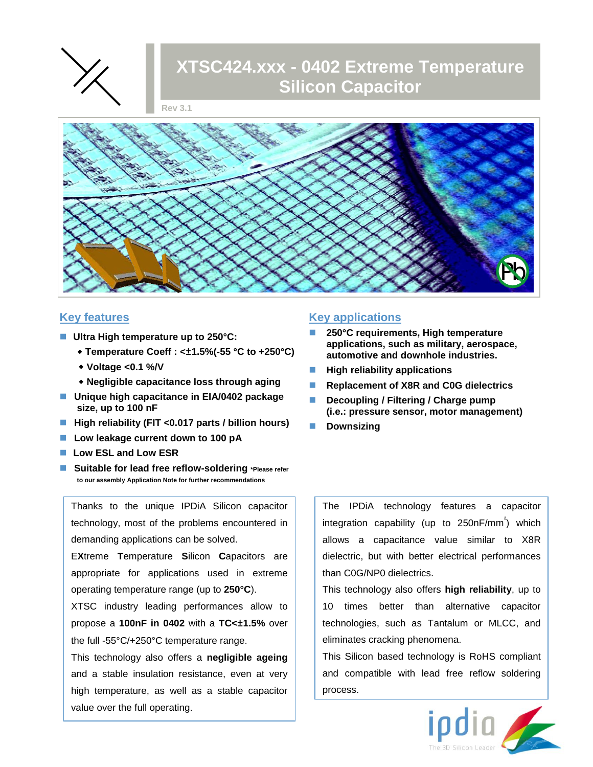

# **XTSC424.xxx - 0402 Extreme Temperature Silicon Capacitor**

**Rev 3.1**



### **Key features**

- Ultra High temperature up to 250°C:
	- **Temperature Coeff : <±1.5%(-55 °C to +250°C)**
	- **Voltage <0.1 %/V**
	- **Negligible capacitance loss through aging**
- **Unique high capacitance in EIA/0402 package size, up to 100 nF**
- **High reliability (FIT <0.017 parts / billion hours)**
- **Low leakage current down to 100 pA**
- Low ESL and Low ESR
- **Suitable for lead free reflow-soldering \*Please refer to our assembly Application Note for further recommendations**

Thanks to the unique IPDiA Silicon capacitor technology, most of the problems encountered in demanding applications can be solved.

E**X**treme **T**emperature **S**ilicon **C**apacitors are appropriate for applications used in extreme operating temperature range (up to **250°C**).

XTSC industry leading performances allow to propose a **100nF in 0402** with a **TC<±1.5%** over the full -55°C/+250°C temperature range.

This technology also offers a **negligible ageing** and a stable insulation resistance, even at very high temperature, as well as a stable capacitor value over the full operating.

#### **Key applications**

- **250°C requirements, High temperature applications, such as military, aerospace, automotive and downhole industries.**
- **High reliability applications**
- **Replacement of X8R and C0G dielectrics**
- **Decoupling / Filtering / Charge pump (i.e.: pressure sensor, motor management)**
- **Downsizing**

The IPDiA technology features a capacitor integration capability (up to 250nF/mm<sup>2</sup>) which allows a capacitance value similar to X8R dielectric, but with better electrical performances than C0G/NP0 dielectrics.

This technology also offers **high reliability**, up to 10 times better than alternative capacitor technologies, such as Tantalum or MLCC, and eliminates cracking phenomena.

This Silicon based technology is RoHS compliant and compatible with lead free reflow soldering process.